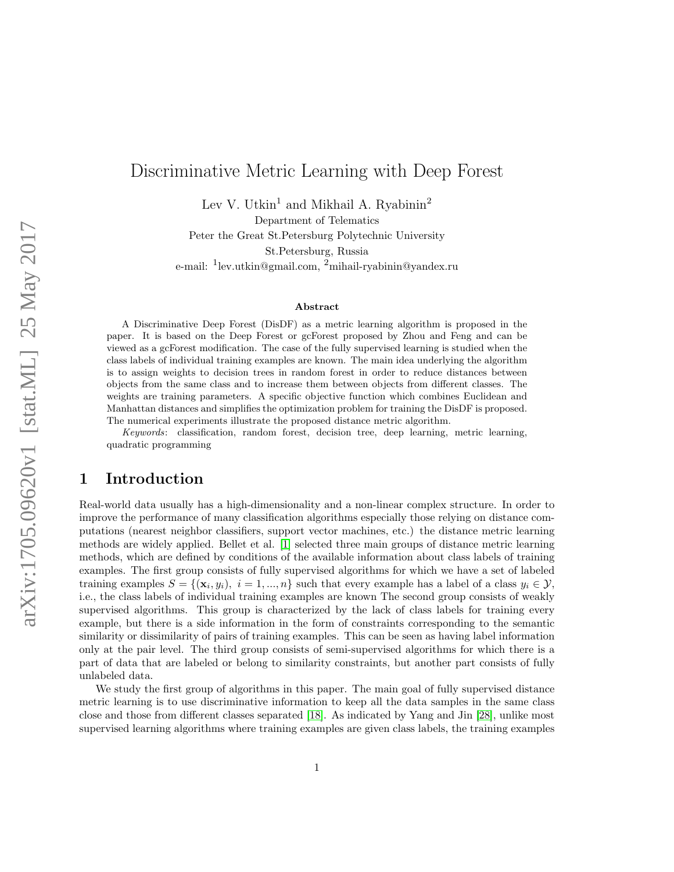# Discriminative Metric Learning with Deep Forest

Lev V. Utkin<sup>1</sup> and Mikhail A. Ryabinin<sup>2</sup>

Department of Telematics

Peter the Great St.Petersburg Polytechnic University

St.Petersburg, Russia

e-mail: <sup>1</sup>lev.utkin@gmail.com, <sup>2</sup>mihail-ryabinin@yandex.ru

#### Abstract

A Discriminative Deep Forest (DisDF) as a metric learning algorithm is proposed in the paper. It is based on the Deep Forest or gcForest proposed by Zhou and Feng and can be viewed as a gcForest modification. The case of the fully supervised learning is studied when the class labels of individual training examples are known. The main idea underlying the algorithm is to assign weights to decision trees in random forest in order to reduce distances between objects from the same class and to increase them between objects from different classes. The weights are training parameters. A specific objective function which combines Euclidean and Manhattan distances and simplifies the optimization problem for training the DisDF is proposed. The numerical experiments illustrate the proposed distance metric algorithm.

Keywords: classification, random forest, decision tree, deep learning, metric learning, quadratic programming

# 1 Introduction

Real-world data usually has a high-dimensionality and a non-linear complex structure. In order to improve the performance of many classification algorithms especially those relying on distance computations (nearest neighbor classifiers, support vector machines, etc.) the distance metric learning methods are widely applied. Bellet et al. [\[1\]](#page-13-0) selected three main groups of distance metric learning methods, which are defined by conditions of the available information about class labels of training examples. The first group consists of fully supervised algorithms for which we have a set of labeled training examples  $S = \{(\mathbf{x}_i, y_i), i = 1, ..., n\}$  such that every example has a label of a class  $y_i \in \mathcal{Y}$ , i.e., the class labels of individual training examples are known The second group consists of weakly supervised algorithms. This group is characterized by the lack of class labels for training every example, but there is a side information in the form of constraints corresponding to the semantic similarity or dissimilarity of pairs of training examples. This can be seen as having label information only at the pair level. The third group consists of semi-supervised algorithms for which there is a part of data that are labeled or belong to similarity constraints, but another part consists of fully unlabeled data.

We study the first group of algorithms in this paper. The main goal of fully supervised distance metric learning is to use discriminative information to keep all the data samples in the same class close and those from different classes separated [\[18\]](#page-14-0). As indicated by Yang and Jin [\[28\]](#page-15-0), unlike most supervised learning algorithms where training examples are given class labels, the training examples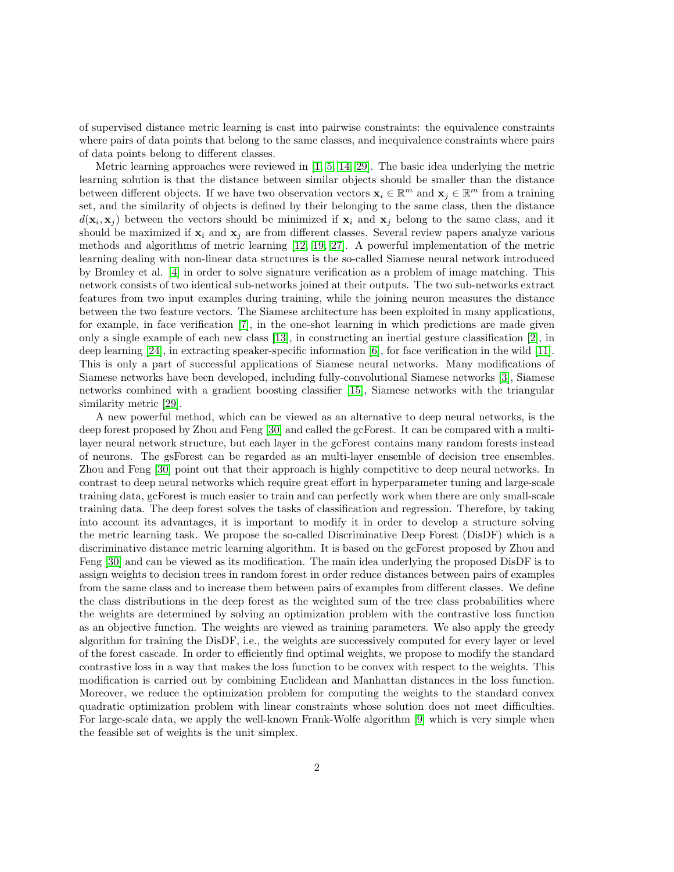of supervised distance metric learning is cast into pairwise constraints: the equivalence constraints where pairs of data points that belong to the same classes, and inequivalence constraints where pairs of data points belong to different classes.

Metric learning approaches were reviewed in [\[1,](#page-13-0) [5,](#page-13-1) [14,](#page-14-1) [29\]](#page-15-1). The basic idea underlying the metric learning solution is that the distance between similar objects should be smaller than the distance between different objects. If we have two observation vectors  $\mathbf{x}_i \in \mathbb{R}^m$  and  $\mathbf{x}_j \in \mathbb{R}^m$  from a training set, and the similarity of objects is defined by their belonging to the same class, then the distance  $d(\mathbf{x}_i, \mathbf{x}_j)$  between the vectors should be minimized if  $\mathbf{x}_i$  and  $\mathbf{x}_j$  belong to the same class, and it should be maximized if  $\mathbf{x}_i$  and  $\mathbf{x}_j$  are from different classes. Several review papers analyze various methods and algorithms of metric learning [\[12,](#page-14-2) [19,](#page-14-3) [27\]](#page-15-2). A powerful implementation of the metric learning dealing with non-linear data structures is the so-called Siamese neural network introduced by Bromley et al. [\[4\]](#page-13-2) in order to solve signature verification as a problem of image matching. This network consists of two identical sub-networks joined at their outputs. The two sub-networks extract features from two input examples during training, while the joining neuron measures the distance between the two feature vectors. The Siamese architecture has been exploited in many applications, for example, in face verification [\[7\]](#page-13-3), in the one-shot learning in which predictions are made given only a single example of each new class [\[13\]](#page-14-4), in constructing an inertial gesture classification [\[2\]](#page-13-4), in deep learning [\[24\]](#page-15-3), in extracting speaker-specific information [\[6\]](#page-13-5), for face verification in the wild [\[11\]](#page-14-5). This is only a part of successful applications of Siamese neural networks. Many modifications of Siamese networks have been developed, including fully-convolutional Siamese networks [\[3\]](#page-13-6), Siamese networks combined with a gradient boosting classifier [\[15\]](#page-14-6), Siamese networks with the triangular similarity metric [\[29\]](#page-15-1).

A new powerful method, which can be viewed as an alternative to deep neural networks, is the deep forest proposed by Zhou and Feng [\[30\]](#page-15-4) and called the gcForest. It can be compared with a multilayer neural network structure, but each layer in the gcForest contains many random forests instead of neurons. The gsForest can be regarded as an multi-layer ensemble of decision tree ensembles. Zhou and Feng [\[30\]](#page-15-4) point out that their approach is highly competitive to deep neural networks. In contrast to deep neural networks which require great effort in hyperparameter tuning and large-scale training data, gcForest is much easier to train and can perfectly work when there are only small-scale training data. The deep forest solves the tasks of classification and regression. Therefore, by taking into account its advantages, it is important to modify it in order to develop a structure solving the metric learning task. We propose the so-called Discriminative Deep Forest (DisDF) which is a discriminative distance metric learning algorithm. It is based on the gcForest proposed by Zhou and Feng [\[30\]](#page-15-4) and can be viewed as its modification. The main idea underlying the proposed DisDF is to assign weights to decision trees in random forest in order reduce distances between pairs of examples from the same class and to increase them between pairs of examples from different classes. We define the class distributions in the deep forest as the weighted sum of the tree class probabilities where the weights are determined by solving an optimization problem with the contrastive loss function as an objective function. The weights are viewed as training parameters. We also apply the greedy algorithm for training the DisDF, i.e., the weights are successively computed for every layer or level of the forest cascade. In order to efficiently find optimal weights, we propose to modify the standard contrastive loss in a way that makes the loss function to be convex with respect to the weights. This modification is carried out by combining Euclidean and Manhattan distances in the loss function. Moreover, we reduce the optimization problem for computing the weights to the standard convex quadratic optimization problem with linear constraints whose solution does not meet difficulties. For large-scale data, we apply the well-known Frank-Wolfe algorithm [\[9\]](#page-14-7) which is very simple when the feasible set of weights is the unit simplex.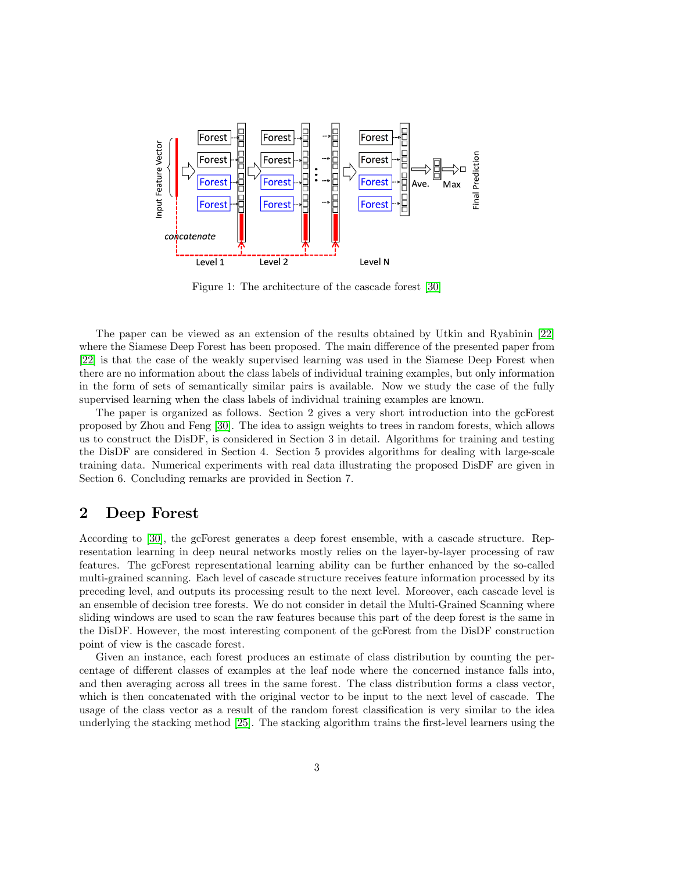

<span id="page-2-0"></span>Figure 1: The architecture of the cascade forest [\[30\]](#page-15-4)

The paper can be viewed as an extension of the results obtained by Utkin and Ryabinin [\[22\]](#page-14-8) where the Siamese Deep Forest has been proposed. The main difference of the presented paper from [\[22\]](#page-14-8) is that the case of the weakly supervised learning was used in the Siamese Deep Forest when there are no information about the class labels of individual training examples, but only information in the form of sets of semantically similar pairs is available. Now we study the case of the fully supervised learning when the class labels of individual training examples are known.

The paper is organized as follows. Section 2 gives a very short introduction into the gcForest proposed by Zhou and Feng [\[30\]](#page-15-4). The idea to assign weights to trees in random forests, which allows us to construct the DisDF, is considered in Section 3 in detail. Algorithms for training and testing the DisDF are considered in Section 4. Section 5 provides algorithms for dealing with large-scale training data. Numerical experiments with real data illustrating the proposed DisDF are given in Section 6. Concluding remarks are provided in Section 7.

# 2 Deep Forest

According to [\[30\]](#page-15-4), the gcForest generates a deep forest ensemble, with a cascade structure. Representation learning in deep neural networks mostly relies on the layer-by-layer processing of raw features. The gcForest representational learning ability can be further enhanced by the so-called multi-grained scanning. Each level of cascade structure receives feature information processed by its preceding level, and outputs its processing result to the next level. Moreover, each cascade level is an ensemble of decision tree forests. We do not consider in detail the Multi-Grained Scanning where sliding windows are used to scan the raw features because this part of the deep forest is the same in the DisDF. However, the most interesting component of the gcForest from the DisDF construction point of view is the cascade forest.

Given an instance, each forest produces an estimate of class distribution by counting the percentage of different classes of examples at the leaf node where the concerned instance falls into, and then averaging across all trees in the same forest. The class distribution forms a class vector, which is then concatenated with the original vector to be input to the next level of cascade. The usage of the class vector as a result of the random forest classification is very similar to the idea underlying the stacking method [\[25\]](#page-15-5). The stacking algorithm trains the first-level learners using the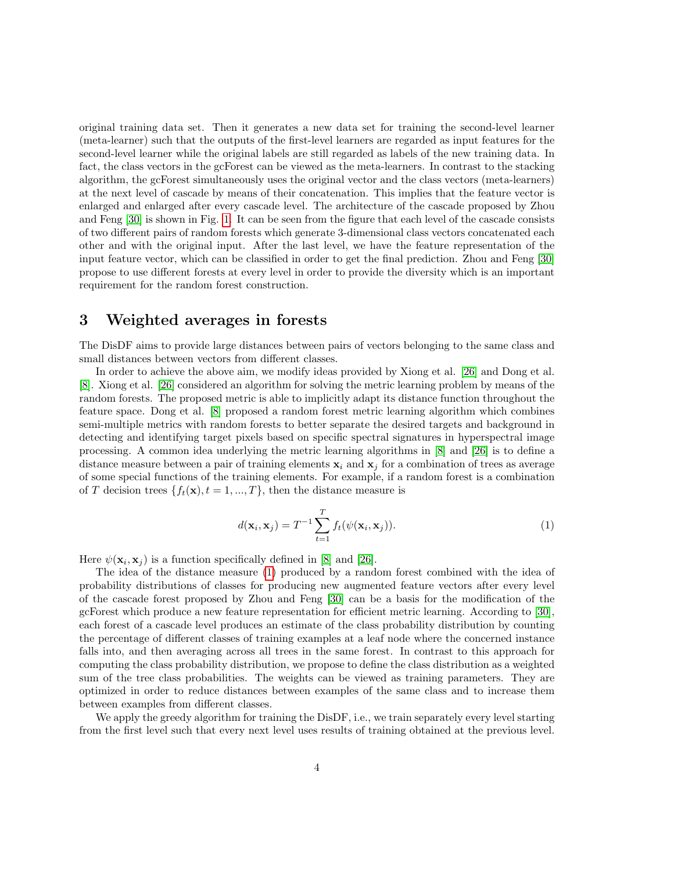original training data set. Then it generates a new data set for training the second-level learner (meta-learner) such that the outputs of the first-level learners are regarded as input features for the second-level learner while the original labels are still regarded as labels of the new training data. In fact, the class vectors in the gcForest can be viewed as the meta-learners. In contrast to the stacking algorithm, the gcForest simultaneously uses the original vector and the class vectors (meta-learners) at the next level of cascade by means of their concatenation. This implies that the feature vector is enlarged and enlarged after every cascade level. The architecture of the cascade proposed by Zhou and Feng [\[30\]](#page-15-4) is shown in Fig. [1.](#page-2-0) It can be seen from the figure that each level of the cascade consists of two different pairs of random forests which generate 3-dimensional class vectors concatenated each other and with the original input. After the last level, we have the feature representation of the input feature vector, which can be classified in order to get the final prediction. Zhou and Feng [\[30\]](#page-15-4) propose to use different forests at every level in order to provide the diversity which is an important requirement for the random forest construction.

#### 3 Weighted averages in forests

The DisDF aims to provide large distances between pairs of vectors belonging to the same class and small distances between vectors from different classes.

In order to achieve the above aim, we modify ideas provided by Xiong et al. [\[26\]](#page-15-6) and Dong et al. [\[8\]](#page-14-9). Xiong et al. [\[26\]](#page-15-6) considered an algorithm for solving the metric learning problem by means of the random forests. The proposed metric is able to implicitly adapt its distance function throughout the feature space. Dong et al. [\[8\]](#page-14-9) proposed a random forest metric learning algorithm which combines semi-multiple metrics with random forests to better separate the desired targets and background in detecting and identifying target pixels based on specific spectral signatures in hyperspectral image processing. A common idea underlying the metric learning algorithms in [\[8\]](#page-14-9) and [\[26\]](#page-15-6) is to define a distance measure between a pair of training elements  $x_i$  and  $x_j$  for a combination of trees as average of some special functions of the training elements. For example, if a random forest is a combination of T decision trees  $\{f_t(\mathbf{x}), t = 1, ..., T\}$ , then the distance measure is

<span id="page-3-0"></span>
$$
d(\mathbf{x}_i, \mathbf{x}_j) = T^{-1} \sum_{t=1}^T f_t(\psi(\mathbf{x}_i, \mathbf{x}_j)).
$$
\n(1)

Here  $\psi(\mathbf{x}_i, \mathbf{x}_j)$  is a function specifically defined in [\[8\]](#page-14-9) and [\[26\]](#page-15-6).

The idea of the distance measure [\(1\)](#page-3-0) produced by a random forest combined with the idea of probability distributions of classes for producing new augmented feature vectors after every level of the cascade forest proposed by Zhou and Feng [\[30\]](#page-15-4) can be a basis for the modification of the gcForest which produce a new feature representation for efficient metric learning. According to [\[30\]](#page-15-4), each forest of a cascade level produces an estimate of the class probability distribution by counting the percentage of different classes of training examples at a leaf node where the concerned instance falls into, and then averaging across all trees in the same forest. In contrast to this approach for computing the class probability distribution, we propose to define the class distribution as a weighted sum of the tree class probabilities. The weights can be viewed as training parameters. They are optimized in order to reduce distances between examples of the same class and to increase them between examples from different classes.

We apply the greedy algorithm for training the DisDF, i.e., we train separately every level starting from the first level such that every next level uses results of training obtained at the previous level.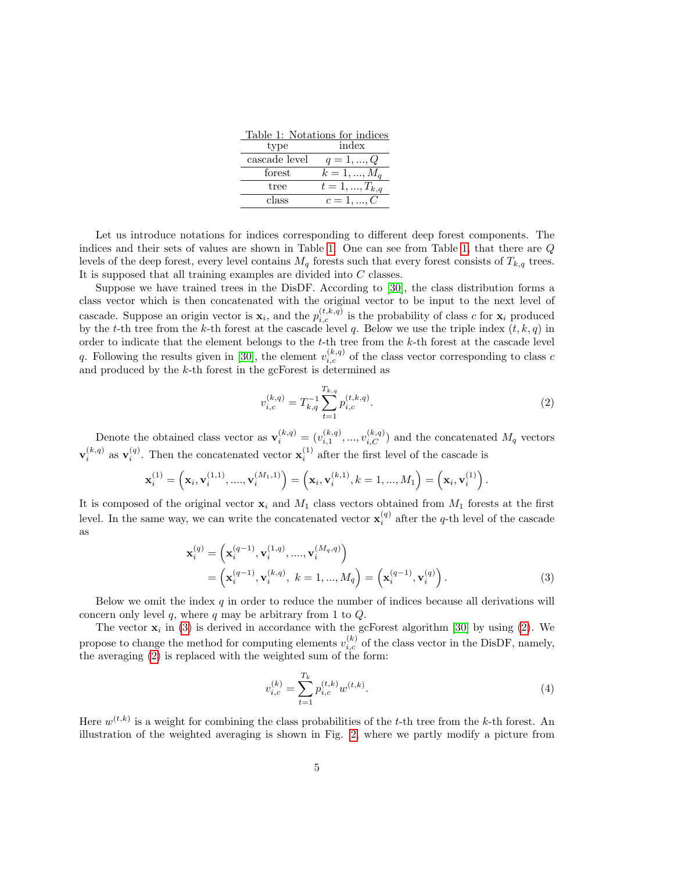Table 1: Notations for indices type index cascade level  $q = 1, ..., Q$ forest  $k = 1, ..., M_q$ tree  $t = 1, ..., T_{k,q}$  $_{\rm class}$ 

<span id="page-4-0"></span>Let us introduce notations for indices corresponding to different deep forest components. The indices and their sets of values are shown in Table [1.](#page-4-0) One can see from Table [1,](#page-4-0) that there are Q levels of the deep forest, every level contains  $M_q$  forests such that every forest consists of  $T_{k,q}$  trees. It is supposed that all training examples are divided into C classes.

Suppose we have trained trees in the DisDF. According to [\[30\]](#page-15-4), the class distribution forms a class vector which is then concatenated with the original vector to be input to the next level of cascade. Suppose an origin vector is  $\mathbf{x}_i$ , and the  $p_{i,c}^{(t,k,q)}$  is the probability of class c for  $\mathbf{x}_i$  produced by the t-th tree from the k-th forest at the cascade level q. Below we use the triple index  $(t, k, q)$  in order to indicate that the element belongs to the t-th tree from the k-th forest at the cascade level q. Following the results given in [\[30\]](#page-15-4), the element  $v_{i,c}^{(k,q)}$  of the class vector corresponding to class c and produced by the  $k$ -th forest in the gcForest is determined as

<span id="page-4-2"></span>
$$
v_{i,c}^{(k,q)} = T_{k,q}^{-1} \sum_{t=1}^{T_{k,q}} p_{i,c}^{(t,k,q)}.
$$
\n(2)

Denote the obtained class vector as  $\mathbf{v}_i^{(k,q)} = (v_{i,1}^{(k,q)},...,v_{i,C}^{(k,q)})$  and the concatenated  $M_q$  vectors  $\mathbf{v}_i^{(k,q)}$  as  $\mathbf{v}_i^{(q)}$ . Then the concatenated vector  $\mathbf{x}_i^{(1)}$  after the first level of the cascade is

$$
\mathbf{x}_{i}^{(1)} = \left(\mathbf{x}_{i}, \mathbf{v}_{i}^{(1,1)}, \dots, \mathbf{v}_{i}^{(M_{1},1)}\right) = \left(\mathbf{x}_{i}, \mathbf{v}_{i}^{(k,1)}, k = 1, ..., M_{1}\right) = \left(\mathbf{x}_{i}, \mathbf{v}_{i}^{(1)}\right).
$$

It is composed of the original vector  $x_i$  and  $M_1$  class vectors obtained from  $M_1$  forests at the first level. In the same way, we can write the concatenated vector  $\mathbf{x}_i^{(q)}$  after the q-th level of the cascade as

$$
\mathbf{x}_{i}^{(q)} = (\mathbf{x}_{i}^{(q-1)}, \mathbf{v}_{i}^{(1,q)}, \dots, \mathbf{v}_{i}^{(M_q, q)})
$$
  
= (\mathbf{x}\_{i}^{(q-1)}, \mathbf{v}\_{i}^{(k,q)}, k = 1, \dots, M\_q) = (\mathbf{x}\_{i}^{(q-1)}, \mathbf{v}\_{i}^{(q)}) . (3)

Below we omit the index  $q$  in order to reduce the number of indices because all derivations will concern only level q, where q may be arbitrary from 1 to  $Q$ .

The vector  $\mathbf{x}_i$  in [\(3\)](#page-4-1) is derived in accordance with the gcForest algorithm [\[30\]](#page-15-4) by using [\(2\)](#page-4-2). We propose to change the method for computing elements  $v_{i,c}^{(k)}$  of the class vector in the DisDF, namely, the averaging  $(2)$  is replaced with the weighted sum of the form:

<span id="page-4-3"></span><span id="page-4-1"></span>
$$
v_{i,c}^{(k)} = \sum_{t=1}^{T_k} p_{i,c}^{(t,k)} w^{(t,k)}.
$$
\n(4)

Here  $w^{(t,k)}$  is a weight for combining the class probabilities of the t-th tree from the k-th forest. An illustration of the weighted averaging is shown in Fig. [2,](#page-5-0) where we partly modify a picture from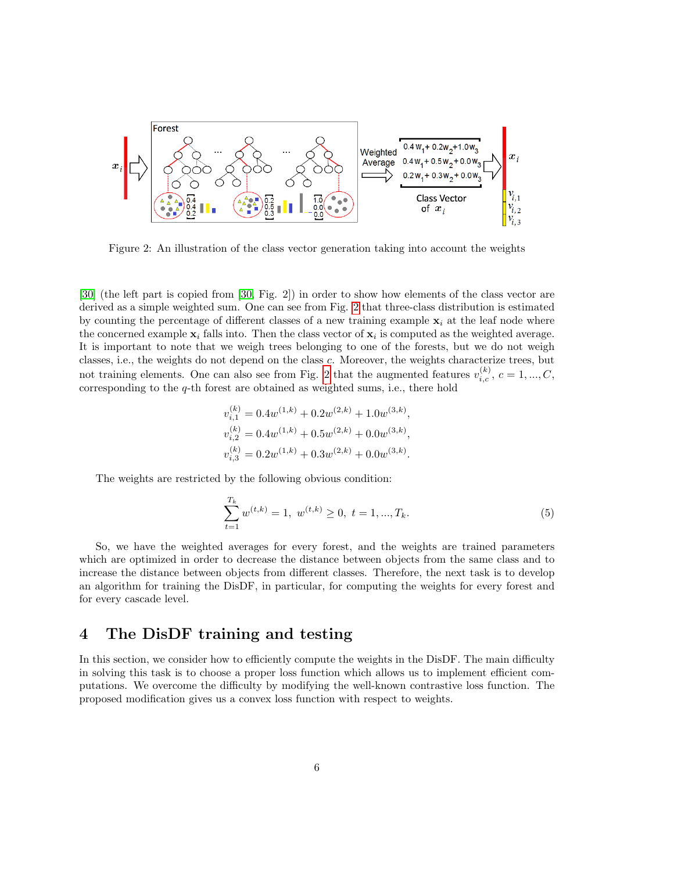

Figure 2: An illustration of the class vector generation taking into account the weights

[\[30\]](#page-15-4) (the left part is copied from [\[30,](#page-15-4) Fig. 2]) in order to show how elements of the class vector are derived as a simple weighted sum. One can see from Fig. [2](#page-5-0) that three-class distribution is estimated by counting the percentage of different classes of a new training example  $x_i$  at the leaf node where the concerned example  $\mathbf{x}_i$  falls into. Then the class vector of  $\mathbf{x}_i$  is computed as the weighted average. It is important to note that we weigh trees belonging to one of the forests, but we do not weigh classes, i.e., the weights do not depend on the class c. Moreover, the weights characterize trees, but not training elements. One can also see from Fig. [2](#page-5-0) that the augmented features  $v_{i,c}^{(k)}$ ,  $c = 1, ..., C$ , corresponding to the q-th forest are obtained as weighted sums, i.e., there hold

<span id="page-5-0"></span>
$$
\begin{aligned} v_{i,1}^{(k)} &= 0.4w^{(1,k)} + 0.2w^{(2,k)} + 1.0w^{(3,k)},\\ v_{i,2}^{(k)} &= 0.4w^{(1,k)} + 0.5w^{(2,k)} + 0.0w^{(3,k)},\\ v_{i,3}^{(k)} &= 0.2w^{(1,k)} + 0.3w^{(2,k)} + 0.0w^{(3,k)}. \end{aligned}
$$

The weights are restricted by the following obvious condition:

<span id="page-5-1"></span>
$$
\sum_{t=1}^{T_k} w^{(t,k)} = 1, \ w^{(t,k)} \ge 0, \ t = 1, ..., T_k.
$$
\n(5)

So, we have the weighted averages for every forest, and the weights are trained parameters which are optimized in order to decrease the distance between objects from the same class and to increase the distance between objects from different classes. Therefore, the next task is to develop an algorithm for training the DisDF, in particular, for computing the weights for every forest and for every cascade level.

# 4 The DisDF training and testing

In this section, we consider how to efficiently compute the weights in the DisDF. The main difficulty in solving this task is to choose a proper loss function which allows us to implement efficient computations. We overcome the difficulty by modifying the well-known contrastive loss function. The proposed modification gives us a convex loss function with respect to weights.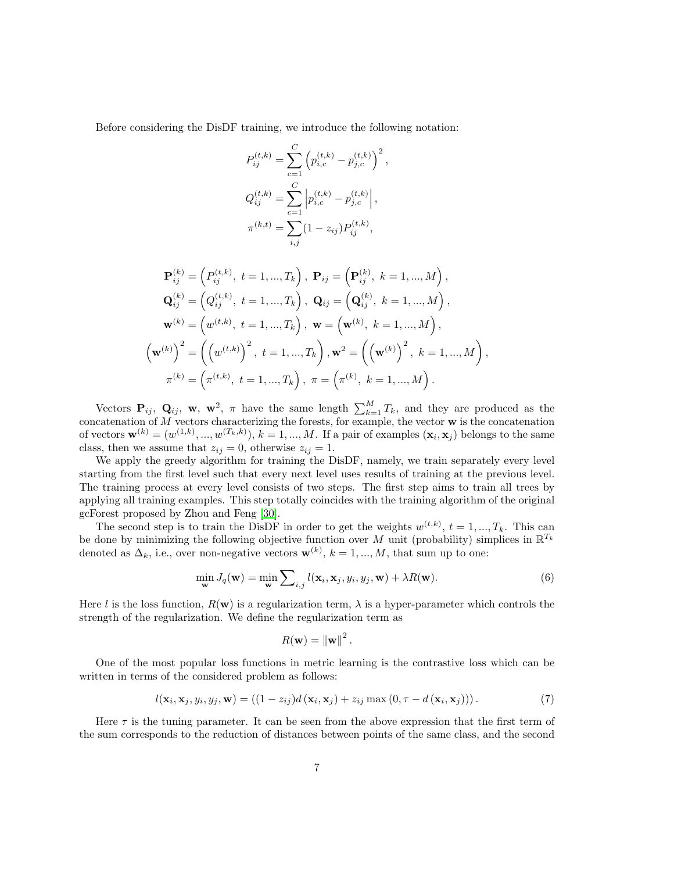Before considering the DisDF training, we introduce the following notation:

$$
P_{ij}^{(t,k)} = \sum_{c=1}^{C} \left( p_{i,c}^{(t,k)} - p_{j,c}^{(t,k)} \right)^2,
$$
  
\n
$$
Q_{ij}^{(t,k)} = \sum_{c=1}^{C} \left| p_{i,c}^{(t,k)} - p_{j,c}^{(t,k)} \right|,
$$
  
\n
$$
\pi^{(k,t)} = \sum_{i,j} (1 - z_{ij}) P_{ij}^{(t,k)},
$$

$$
\mathbf{P}_{ij}^{(k)} = \left(P_{ij}^{(t,k)}, t = 1, ..., T_k\right), \ \mathbf{P}_{ij} = \left(\mathbf{P}_{ij}^{(k)}, k = 1, ..., M\right),
$$

$$
\mathbf{Q}_{ij}^{(k)} = \left(Q_{ij}^{(t,k)}, t = 1, ..., T_k\right), \ \mathbf{Q}_{ij} = \left(\mathbf{Q}_{ij}^{(k)}, k = 1, ..., M\right),
$$

$$
\mathbf{w}^{(k)} = \left(w^{(t,k)}, t = 1, ..., T_k\right), \ \mathbf{w} = \left(\mathbf{w}^{(k)}, k = 1, ..., M\right),
$$

$$
\left(\mathbf{w}^{(k)}\right)^2 = \left(\left(w^{(t,k)}\right)^2, t = 1, ..., T_k\right), \mathbf{w}^2 = \left(\left(\mathbf{w}^{(k)}\right)^2, k = 1, ..., M\right),
$$

$$
\pi^{(k)} = \left(\pi^{(t,k)}, t = 1, ..., T_k\right), \ \pi = \left(\pi^{(k)}, k = 1, ..., M\right).
$$

Vectors  $P_{ij}$ ,  $Q_{ij}$ , w, w<sup>2</sup>,  $\pi$  have the same length  $\sum_{k=1}^{M} T_k$ , and they are produced as the concatenation of  $M$  vectors characterizing the forests, for example, the vector  $\bf{w}$  is the concatenation of vectors  $\mathbf{w}^{(k)} = (w^{(1,k)}, ..., w^{(T_k,k)}), k = 1, ..., M$ . If a pair of examples  $(\mathbf{x}_i, \mathbf{x}_j)$  belongs to the same class, then we assume that  $z_{ij} = 0$ , otherwise  $z_{ij} = 1$ .

We apply the greedy algorithm for training the DisDF, namely, we train separately every level starting from the first level such that every next level uses results of training at the previous level. The training process at every level consists of two steps. The first step aims to train all trees by applying all training examples. This step totally coincides with the training algorithm of the original gcForest proposed by Zhou and Feng [\[30\]](#page-15-4).

The second step is to train the DisDF in order to get the weights  $w^{(t,k)}$ ,  $t = 1, ..., T_k$ . This can be done by minimizing the following objective function over M unit (probability) simplices in  $\mathbb{R}^{T_k}$ denoted as  $\Delta_k$ , i.e., over non-negative vectors  $\mathbf{w}^{(k)}$ ,  $k = 1, ..., M$ , that sum up to one:

$$
\min_{\mathbf{w}} J_q(\mathbf{w}) = \min_{\mathbf{w}} \sum_{i,j} l(\mathbf{x}_i, \mathbf{x}_j, y_i, y_j, \mathbf{w}) + \lambda R(\mathbf{w}).
$$
\n(6)

Here l is the loss function,  $R(\mathbf{w})$  is a regularization term,  $\lambda$  is a hyper-parameter which controls the strength of the regularization. We define the regularization term as

<span id="page-6-0"></span>
$$
R(\mathbf{w}) = \|\mathbf{w}\|^2.
$$

One of the most popular loss functions in metric learning is the contrastive loss which can be written in terms of the considered problem as follows:

$$
l(\mathbf{x}_i, \mathbf{x}_j, y_i, y_j, \mathbf{w}) = ((1 - z_{ij})d(\mathbf{x}_i, \mathbf{x}_j) + z_{ij} \max(0, \tau - d(\mathbf{x}_i, \mathbf{x}_j))).
$$
\n(7)

Here  $\tau$  is the tuning parameter. It can be seen from the above expression that the first term of the sum corresponds to the reduction of distances between points of the same class, and the second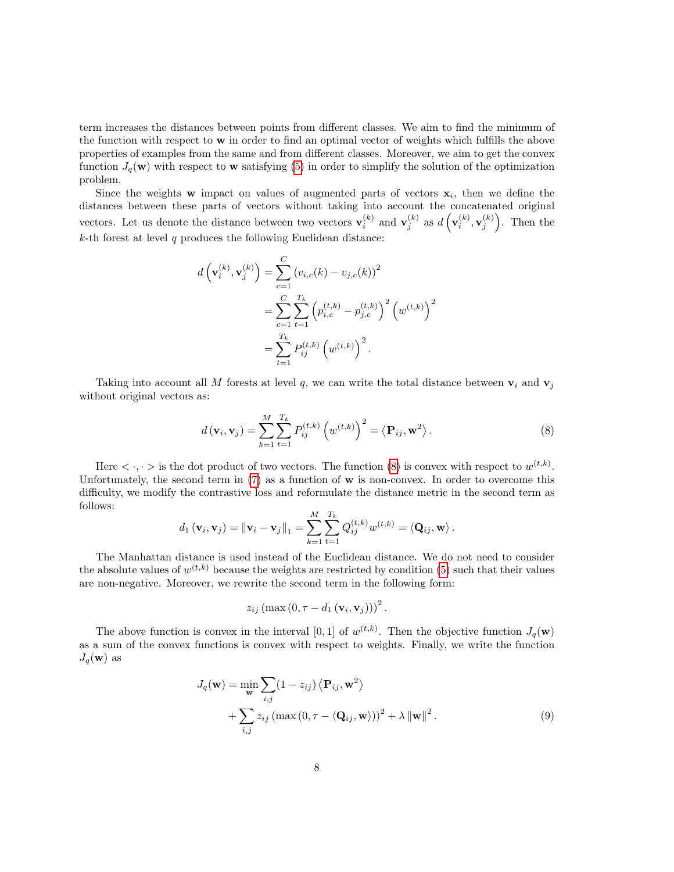term increases the distances between points from different classes. We aim to find the minimum of the function with respect to  $\bf{w}$  in order to find an optimal vector of weights which fulfills the above properties of examples from the same and from different classes. Moreover, we aim to get the convex function  $J_q(\mathbf{w})$  with respect to **w** satisfying [\(5\)](#page-5-1) in order to simplify the solution of the optimization problem.

Since the weights **w** impact on values of augmented parts of vectors  $x_i$ , then we define the distances between these parts of vectors without taking into account the concatenated original vectors. Let us denote the distance between two vectors  $\mathbf{v}_i^{(k)}$  and  $\mathbf{v}_j^{(k)}$  as  $d\left(\mathbf{v}_i^{(k)}, \mathbf{v}_j^{(k)}\right)$ . Then the  $k$ -th forest at level  $q$  produces the following Euclidean distance:

$$
d\left(\mathbf{v}_{i}^{(k)}, \mathbf{v}_{j}^{(k)}\right) = \sum_{c=1}^{C} \left(v_{i,c}(k) - v_{j,c}(k)\right)^{2}
$$
  
= 
$$
\sum_{c=1}^{C} \sum_{t=1}^{T_{k}} \left(p_{i,c}^{(t,k)} - p_{j,c}^{(t,k)}\right)^{2} \left(w^{(t,k)}\right)^{2}
$$
  
= 
$$
\sum_{t=1}^{T_{k}} P_{ij}^{(t,k)} \left(w^{(t,k)}\right)^{2}.
$$

Taking into account all M forests at level q, we can write the total distance between  $v_i$  and  $v_j$ without original vectors as:

<span id="page-7-0"></span>
$$
d\left(\mathbf{v}_i, \mathbf{v}_j\right) = \sum_{k=1}^M \sum_{t=1}^{T_k} P_{ij}^{(t,k)} \left(w^{(t,k)}\right)^2 = \left\langle \mathbf{P}_{ij}, \mathbf{w}^2 \right\rangle. \tag{8}
$$

Here  $\langle \cdot, \cdot \rangle$  is the dot product of two vectors. The function [\(8\)](#page-7-0) is convex with respect to  $w^{(t,k)}$ . Unfortunately, the second term in [\(7\)](#page-6-0) as a function of w is non-convex. In order to overcome this difficulty, we modify the contrastive loss and reformulate the distance metric in the second term as follows:

$$
d_1(\mathbf{v}_i, \mathbf{v}_j) = \|\mathbf{v}_i - \mathbf{v}_j\|_1 = \sum_{k=1}^M \sum_{t=1}^{T_k} Q_{ij}^{(t,k)} w^{(t,k)} = \langle \mathbf{Q}_{ij}, \mathbf{w} \rangle.
$$

The Manhattan distance is used instead of the Euclidean distance. We do not need to consider the absolute values of  $w^{(t,k)}$  because the weights are restricted by condition [\(5\)](#page-5-1) such that their values are non-negative. Moreover, we rewrite the second term in the following form:

<span id="page-7-1"></span>
$$
z_{ij}\left(\max\left(0,\tau-d_1\left(\mathbf{v}_i,\mathbf{v}_j\right)\right)\right)^2.
$$

The above function is convex in the interval [0, 1] of  $w^{(t,k)}$ . Then the objective function  $J_q(\mathbf{w})$ as a sum of the convex functions is convex with respect to weights. Finally, we write the function  $J_q(\mathbf{w})$  as

$$
J_q(\mathbf{w}) = \min_{\mathbf{w}} \sum_{i,j} (1 - z_{ij}) \langle \mathbf{P}_{ij}, \mathbf{w}^2 \rangle
$$
  
+ 
$$
\sum_{i,j} z_{ij} (\max (0, \tau - \langle \mathbf{Q}_{ij}, \mathbf{w} \rangle))^2 + \lambda ||\mathbf{w}||^2.
$$
 (9)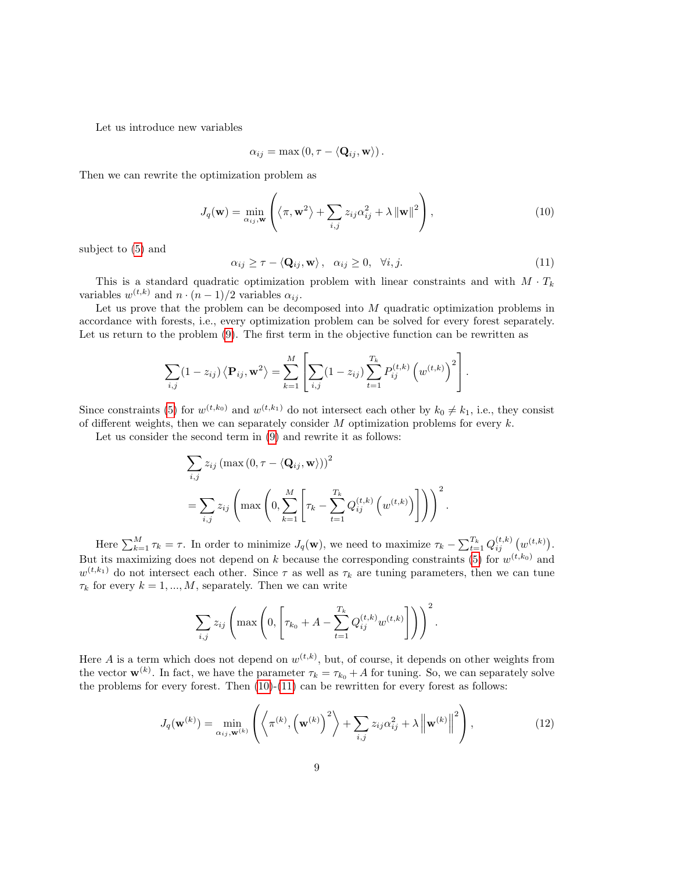Let us introduce new variables

<span id="page-8-0"></span>
$$
\alpha_{ij} = \max(0, \tau - \langle \mathbf{Q}_{ij}, \mathbf{w} \rangle).
$$

Then we can rewrite the optimization problem as

<span id="page-8-1"></span>
$$
J_q(\mathbf{w}) = \min_{\alpha_{ij}, \mathbf{w}} \left( \langle \pi, \mathbf{w}^2 \rangle + \sum_{i,j} z_{ij} \alpha_{ij}^2 + \lambda \left\| \mathbf{w} \right\|^2 \right), \tag{10}
$$

subject to [\(5\)](#page-5-1) and

$$
\alpha_{ij} \ge \tau - \langle \mathbf{Q}_{ij}, \mathbf{w} \rangle, \quad \alpha_{ij} \ge 0, \quad \forall i, j. \tag{11}
$$

This is a standard quadratic optimization problem with linear constraints and with  $M \cdot T_k$ variables  $w^{(t,k)}$  and  $n \cdot (n-1)/2$  variables  $\alpha_{ij}$ .

Let us prove that the problem can be decomposed into  $M$  quadratic optimization problems in accordance with forests, i.e., every optimization problem can be solved for every forest separately. Let us return to the problem [\(9\)](#page-7-1). The first term in the objective function can be rewritten as

$$
\sum_{i,j} (1 - z_{ij}) \langle \mathbf{P}_{ij}, \mathbf{w}^2 \rangle = \sum_{k=1}^M \left[ \sum_{i,j} (1 - z_{ij}) \sum_{t=1}^{T_k} P_{ij}^{(t,k)} \left( w^{(t,k)} \right)^2 \right].
$$

Since constraints [\(5\)](#page-5-1) for  $w^{(t,k_0)}$  and  $w^{(t,k_1)}$  do not intersect each other by  $k_0 \neq k_1$ , i.e., they consist of different weights, then we can separately consider  $M$  optimization problems for every  $k$ .

Let us consider the second term in [\(9\)](#page-7-1) and rewrite it as follows:

$$
\sum_{i,j} z_{ij} (\max(0, \tau - \langle \mathbf{Q}_{ij}, \mathbf{w} \rangle))^2
$$
  
= 
$$
\sum_{i,j} z_{ij} \left( \max \left( 0, \sum_{k=1}^M \left[ \tau_k - \sum_{t=1}^{T_k} Q_{ij}^{(t,k)} \left( w^{(t,k)} \right) \right] \right) \right)^2.
$$

Here  $\sum_{k=1}^{M} \tau_k = \tau$ . In order to minimize  $J_q(\mathbf{w})$ , we need to maximize  $\tau_k - \sum_{t=1}^{T_k} Q_{ij}^{(t,k)} (w^{(t,k)})$ . But its maximizing does not depend on k because the corresponding constraints [\(5\)](#page-5-1) for  $w^{(t,k_0)}$  and  $w^{(t,k_1)}$  do not intersect each other. Since  $\tau$  as well as  $\tau_k$  are tuning parameters, then we can tune  $\tau_k$  for every  $k = 1, ..., M$ , separately. Then we can write

<span id="page-8-2"></span>
$$
\sum_{i,j} z_{ij} \left( \max \left( 0, \left[ \tau_{k_0} + A - \sum_{t=1}^{T_k} Q_{ij}^{(t,k)} w^{(t,k)} \right] \right) \right)^2.
$$

Here A is a term which does not depend on  $w^{(t,k)}$ , but, of course, it depends on other weights from the vector  $\mathbf{w}^{(k)}$ . In fact, we have the parameter  $\tau_k = \tau_{k_0} + A$  for tuning. So, we can separately solve the problems for every forest. Then  $(10)-(11)$  $(10)-(11)$  $(10)-(11)$  can be rewritten for every forest as follows:

$$
J_q(\mathbf{w}^{(k)}) = \min_{\alpha_{ij}, \mathbf{w}^{(k)}} \left( \left\langle \pi^{(k)}, \left( \mathbf{w}^{(k)} \right)^2 \right\rangle + \sum_{i,j} z_{ij} \alpha_{ij}^2 + \lambda \left\| \mathbf{w}^{(k)} \right\|^2 \right),\tag{12}
$$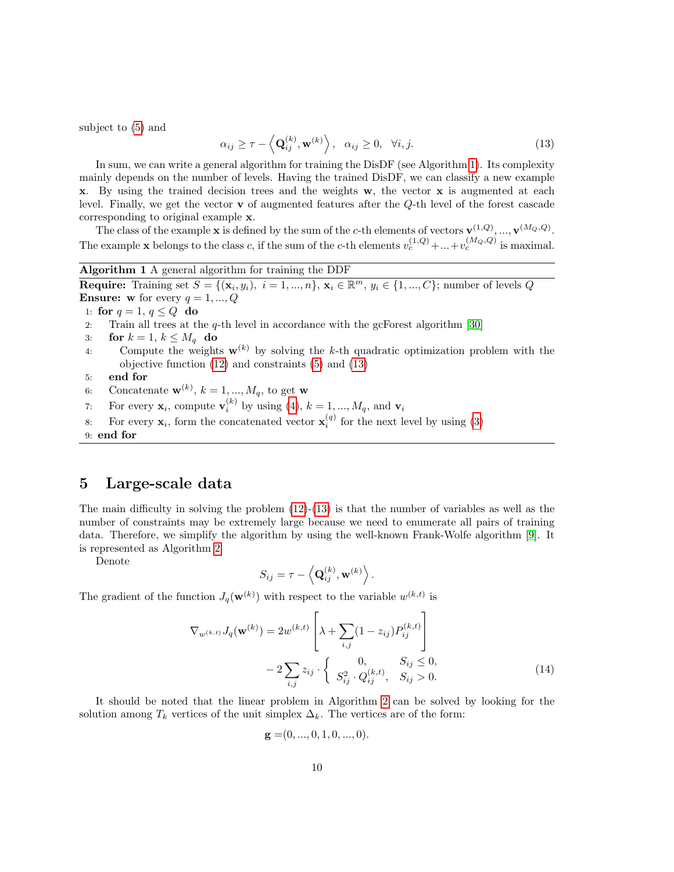subject to [\(5\)](#page-5-1) and

<span id="page-9-1"></span>
$$
\alpha_{ij} \ge \tau - \left\langle \mathbf{Q}_{ij}^{(k)}, \mathbf{w}^{(k)} \right\rangle, \quad \alpha_{ij} \ge 0, \quad \forall i, j.
$$
 (13)

In sum, we can write a general algorithm for training the DisDF (see Algorithm [1\)](#page-9-0). Its complexity mainly depends on the number of levels. Having the trained DisDF, we can classify a new example x. By using the trained decision trees and the weights  $w$ , the vector  $x$  is augmented at each level. Finally, we get the vector  $\bf{v}$  of augmented features after the  $Q$ -th level of the forest cascade corresponding to original example x.

The class of the example **x** is defined by the sum of the c-th elements of vectors  $\mathbf{v}^{(1,Q)},...,\mathbf{v}^{(M_Q,Q)}$ . The example **x** belongs to the class c, if the sum of the c-th elements  $v_c^{(1,Q)} + ... + v_c^{(M_Q,Q)}$  is maximal.

Algorithm 1 A general algorithm for training the DDF

<span id="page-9-0"></span>**Require:** Training set  $S = \{(\mathbf{x}_i, y_i), i = 1, ..., n\}, \mathbf{x}_i \in \mathbb{R}^m, y_i \in \{1, ..., C\}$ ; number of levels Q **Ensure:** w for every  $q = 1, ..., Q$ 

1: for  $q = 1, q \leq Q$  do

2: Train all trees at the  $q$ -th level in accordance with the gcForest algorithm [\[30\]](#page-15-4)

3: for  $k = 1, k \leq M_q$  do

- 4: Compute the weights  $\mathbf{w}^{(k)}$  by solving the k-th quadratic optimization problem with the objective function [\(12\)](#page-8-2) and constraints [\(5\)](#page-5-1) and [\(13\)](#page-9-1)
- 5: end for
- 6: Concatenate  $\mathbf{w}^{(k)}$ ,  $k = 1, ..., M_q$ , to get w
- 7: For every  $\mathbf{x}_i$ , compute  $\mathbf{v}_i^{(k)}$  by using [\(4\)](#page-4-3),  $k = 1, ..., M_q$ , and  $\mathbf{v}_i$
- 8: For every  $\mathbf{x}_i$ , form the concatenated vector  $\mathbf{x}_i^{(q)}$  for the next level by using [\(3\)](#page-4-1)

9: end for

#### 5 Large-scale data

The main difficulty in solving the problem  $(12)-(13)$  $(12)-(13)$  $(12)-(13)$  is that the number of variables as well as the number of constraints may be extremely large because we need to enumerate all pairs of training data. Therefore, we simplify the algorithm by using the well-known Frank-Wolfe algorithm [\[9\]](#page-14-7). It is represented as Algorithm [2.](#page-10-0)

Denote

$$
S_{ij} = \tau - \left\langle \mathbf{Q}_{ij}^{(k)}, \mathbf{w}^{(k)} \right\rangle.
$$

The gradient of the function  $J_q(\mathbf{w}^{(k)})$  with respect to the variable  $w^{(k,t)}$  is

$$
\nabla_{w^{(k,t)}} J_q(\mathbf{w}^{(k)}) = 2w^{(k,t)} \left[ \lambda + \sum_{i,j} (1 - z_{ij}) P_{ij}^{(k,t)} \right] - 2 \sum_{i,j} z_{ij} \cdot \left\{ \begin{array}{c} 0, & S_{ij} \le 0, \\ S_{ij}^2 \cdot Q_{ij}^{(k,t)}, & S_{ij} > 0. \end{array} \right)
$$
(14)

It should be noted that the linear problem in Algorithm [2](#page-10-0) can be solved by looking for the solution among  $T_k$  vertices of the unit simplex  $\Delta_k$ . The vertices are of the form:

<span id="page-9-2"></span>
$$
\mathbf{g} = (0, ..., 0, 1, 0, ..., 0).
$$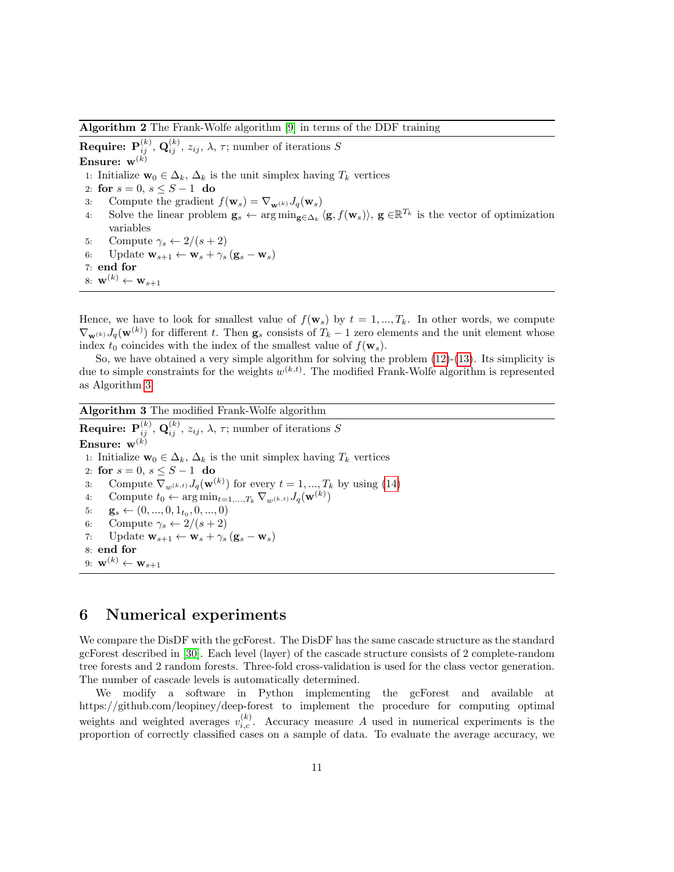<span id="page-10-0"></span>Require:  $\mathbf{P}_{ij}^{(k)},\mathbf{Q}_{ij}^{(k)},$   $z_{ij},$   $\lambda$ ,  $\tau;$  number of iterations  $S$ Ensure:  $w^{(k)}$ 

1: Initialize  $\mathbf{w}_0 \in \Delta_k$ ,  $\Delta_k$  is the unit simplex having  $T_k$  vertices

- 2: for  $s = 0, s \leq S 1$  do
- 3: Compute the gradient  $f(\mathbf{w}_s) = \nabla_{\mathbf{w}^{(k)}} J_q(\mathbf{w}_s)$
- 4: Solve the linear problem  $\mathbf{g}_s \leftarrow \arg \min_{\mathbf{g} \in \Delta_k} \langle \mathbf{g}, f(\mathbf{w}_s) \rangle, \mathbf{g} \in \mathbb{R}^{T_k}$  is the vector of optimization variables
- 5: Compute  $\gamma_s \leftarrow 2/(s+2)$
- 6: Update  $\mathbf{w}_{s+1} \leftarrow \mathbf{w}_s + \gamma_s (\mathbf{g}_s \mathbf{w}_s)$
- 7: end for
- 8:  $\mathbf{w}^{(k)} \leftarrow \mathbf{w}_{s+1}$

Hence, we have to look for smallest value of  $f(\mathbf{w}_s)$  by  $t = 1, ..., T_k$ . In other words, we compute  $\nabla_{\mathbf{w}^{(k)}} J_q(\mathbf{w}^{(k)})$  for different t. Then  $\mathbf{g}_s$  consists of  $T_k - 1$  zero elements and the unit element whose index  $t_0$  coincides with the index of the smallest value of  $f(\mathbf{w}_s)$ .

So, we have obtained a very simple algorithm for solving the problem  $(12)-(13)$  $(12)-(13)$  $(12)-(13)$ . Its simplicity is due to simple constraints for the weights  $w^{(k,t)}$ . The modified Frank-Wolfe algorithm is represented as Algorithm [3.](#page-10-1)

Algorithm 3 The modified Frank-Wolfe algorithm

<span id="page-10-1"></span>Require:  $\mathbf{P}_{ij}^{(k)},\mathbf{Q}_{ij}^{(k)},$   $z_{ij},$   $\lambda$ ,  $\tau;$  number of iterations  $S$ Ensure:  $\mathbf{w}^{(k)}$ 1: Initialize  $\mathbf{w}_0 \in \Delta_k$ ,  $\Delta_k$  is the unit simplex having  $T_k$  vertices 2: for  $s = 0, s \leq S - 1$  do 3: Compute  $\nabla_{w^{(k,t)}} J_q(\mathbf{w}^{(k)})$  for every  $t = 1, ..., T_k$  by using [\(14\)](#page-9-2) 4: Compute  $t_0 \leftarrow \arg \min_{t=1,...,T_k} \nabla_{w^{(k,t)}} J_q(\mathbf{w}^{(k)})$ 5:  $\mathbf{g}_s \leftarrow (0, ..., 0, 1_{t_0}, 0, ..., 0)$ 6: Compute  $\gamma_s \leftarrow 2/(s+2)$ 7: Update  $\mathbf{w}_{s+1} \leftarrow \mathbf{w}_s + \gamma_s (\mathbf{g}_s - \mathbf{w}_s)$ 8: end for 9:  $\mathbf{w}^{(k)} \leftarrow \mathbf{w}_{s+1}$ 

#### 6 Numerical experiments

We compare the DisDF with the gcForest. The DisDF has the same cascade structure as the standard gcForest described in [\[30\]](#page-15-4). Each level (layer) of the cascade structure consists of 2 complete-random tree forests and 2 random forests. Three-fold cross-validation is used for the class vector generation. The number of cascade levels is automatically determined.

We modify a software in Python implementing the gcForest and available at https://github.com/leopiney/deep-forest to implement the procedure for computing optimal weights and weighted averages  $v_{i,c}^{(k)}$ . Accuracy measure A used in numerical experiments is the proportion of correctly classified cases on a sample of data. To evaluate the average accuracy, we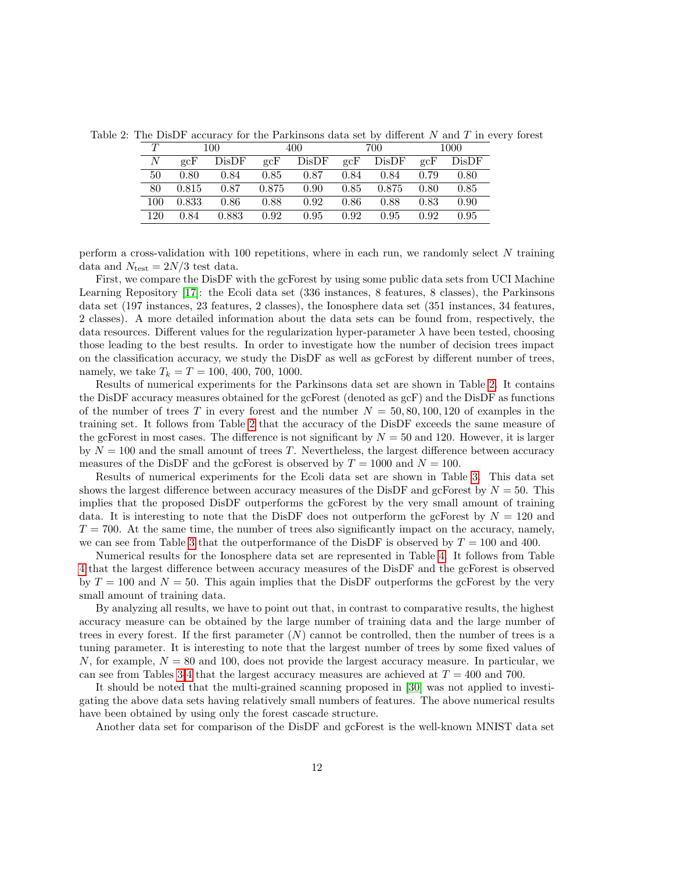<span id="page-11-0"></span>Table 2: The DisDF accuracy for the Parkinsons data set by different  $N$  and  $T$  in every forest

|     | 100   |       | 400   |       | 700  |       | 1000 |       |
|-----|-------|-------|-------|-------|------|-------|------|-------|
|     | gcF   | DisDF | gcF   | DisDF | gcF  | DisDF | gcF  | DisDF |
| 50  | 0.80  | 0.84  | 0.85  | 0.87  | 0.84 | 0.84  | 0.79 | 0.80  |
| 80  | 0.815 | 0.87  | 0.875 | 0.90  | 0.85 | 0.875 | 0.80 | 0.85  |
| 100 | 0.833 | 0.86  | 0.88  | 0.92  | 0.86 | 0.88  | 0.83 | 0.90  |
| 120 | 0.84  | 0.883 | 0.92  | 0.95  | 0.92 | 0.95  | 0.92 | 0.95  |

perform a cross-validation with 100 repetitions, where in each run, we randomly select  $N$  training data and  $N_{\text{test}} = 2N/3$  test data.

First, we compare the DisDF with the gcForest by using some public data sets from UCI Machine Learning Repository [\[17\]](#page-14-10): the Ecoli data set (336 instances, 8 features, 8 classes), the Parkinsons data set (197 instances, 23 features, 2 classes), the Ionosphere data set (351 instances, 34 features, 2 classes). A more detailed information about the data sets can be found from, respectively, the data resources. Different values for the regularization hyper-parameter  $\lambda$  have been tested, choosing those leading to the best results. In order to investigate how the number of decision trees impact on the classification accuracy, we study the DisDF as well as gcForest by different number of trees, namely, we take  $T_k = T = 100, 400, 700, 1000$ .

Results of numerical experiments for the Parkinsons data set are shown in Table [2.](#page-11-0) It contains the DisDF accuracy measures obtained for the gcForest (denoted as gcF) and the DisDF as functions of the number of trees T in every forest and the number  $N = 50, 80, 100, 120$  of examples in the training set. It follows from Table [2](#page-11-0) that the accuracy of the DisDF exceeds the same measure of the gcForest in most cases. The difference is not significant by  $N = 50$  and 120. However, it is larger by  $N = 100$  and the small amount of trees T. Nevertheless, the largest difference between accuracy measures of the DisDF and the gcForest is observed by  $T = 1000$  and  $N = 100$ .

Results of numerical experiments for the Ecoli data set are shown in Table [3.](#page-12-0) This data set shows the largest difference between accuracy measures of the DisDF and gcForest by  $N = 50$ . This implies that the proposed DisDF outperforms the gcForest by the very small amount of training data. It is interesting to note that the DisDF does not outperform the gcForest by  $N = 120$  and  $T = 700$ . At the same time, the number of trees also significantly impact on the accuracy, namely, we can see from Table [3](#page-12-0) that the outperformance of the DisDF is observed by  $T = 100$  and 400.

Numerical results for the Ionosphere data set are represented in Table [4.](#page-12-1) It follows from Table [4](#page-12-1) that the largest difference between accuracy measures of the DisDF and the gcForest is observed by  $T = 100$  and  $N = 50$ . This again implies that the DisDF outperforms the gcForest by the very small amount of training data.

By analyzing all results, we have to point out that, in contrast to comparative results, the highest accuracy measure can be obtained by the large number of training data and the large number of trees in every forest. If the first parameter  $(N)$  cannot be controlled, then the number of trees is a tuning parameter. It is interesting to note that the largest number of trees by some fixed values of N, for example,  $N = 80$  and 100, does not provide the largest accuracy measure. In particular, we can see from Tables [3-](#page-12-0)[4](#page-12-1) that the largest accuracy measures are achieved at  $T = 400$  and 700.

It should be noted that the multi-grained scanning proposed in [\[30\]](#page-15-4) was not applied to investigating the above data sets having relatively small numbers of features. The above numerical results have been obtained by using only the forest cascade structure.

Another data set for comparison of the DisDF and gcForest is the well-known MNIST data set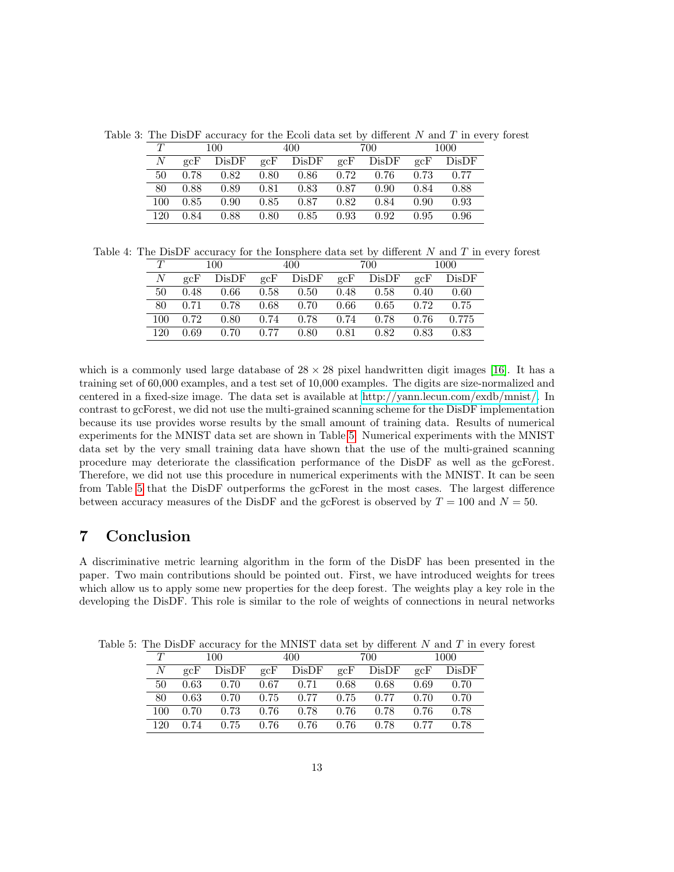<span id="page-12-0"></span>Table 3: The DisDF accuracy for the Ecoli data set by different N and T in every forest

|     | 100           |       | 400  |       | 700        |       | 1000 |       |
|-----|---------------|-------|------|-------|------------|-------|------|-------|
|     | $_{\rm{ecF}}$ | DisDF | gcF  | DisDF | $\rm g cF$ | DisDF | gcF  | DisDF |
| 50  | 0.78          | 0.82  | 0.80 | 0.86  | 0.72       | 0.76  | 0.73 | 0.77  |
| 80  | 0.88          | 0.89  | 0.81 | 0.83  | 0.87       | 0.90  | 0.84 | 0.88  |
| 100 | 0.85          | 0.90  | 0.85 | 0.87  | 0.82       | 0.84  | 0.90 | 0.93  |
| 120 | 0.84          | 0.88  | 0.80 | 0.85  | 0.93       | 0.92  | 0.95 | 0.96  |

<span id="page-12-1"></span>Table 4: The DisDF accuracy for the Ionsphere data set by different  $N$  and  $T$  in every forest

|     | 100  |       | 400  |       | 700  |       | 1000 |       |
|-----|------|-------|------|-------|------|-------|------|-------|
|     | ecF  | DisDF | gcF  | DisDF | gcF  | DisDF | gcF  | DisDF |
| 50  | 0.48 | 0.66  | 0.58 | 0.50  | 0.48 | 0.58  | 0.40 | 0.60  |
| 80  | 0.71 | 0.78  | 0.68 | 0.70  | 0.66 | 0.65  | 0.72 | 0.75  |
| 100 | 0.72 | 0.80  | 0.74 | 0.78  | 0.74 | 0.78  | 0.76 | 0.775 |
| 120 | 0.69 | 0.70  | 0.77 | 0.80  | 0.81 | 0.82  | 0.83 | 0.83  |

which is a commonly used large database of  $28 \times 28$  pixel handwritten digit images [\[16\]](#page-14-11). It has a training set of 60,000 examples, and a test set of 10,000 examples. The digits are size-normalized and centered in a fixed-size image. The data set is available at [http://yann.lecun.com/exdb/mnist/.](http://yann.lecun.com/exdb/mnist/) In contrast to gcForest, we did not use the multi-grained scanning scheme for the DisDF implementation because its use provides worse results by the small amount of training data. Results of numerical experiments for the MNIST data set are shown in Table [5.](#page-12-2) Numerical experiments with the MNIST data set by the very small training data have shown that the use of the multi-grained scanning procedure may deteriorate the classification performance of the DisDF as well as the gcForest. Therefore, we did not use this procedure in numerical experiments with the MNIST. It can be seen from Table [5](#page-12-2) that the DisDF outperforms the gcForest in the most cases. The largest difference between accuracy measures of the DisDF and the gcForest is observed by  $T = 100$  and  $N = 50$ .

#### 7 Conclusion

A discriminative metric learning algorithm in the form of the DisDF has been presented in the paper. Two main contributions should be pointed out. First, we have introduced weights for trees which allow us to apply some new properties for the deep forest. The weights play a key role in the developing the DisDF. This role is similar to the role of weights of connections in neural networks

|      | 100  |                                     | 400 |                             | 700 |                                           | 1000   |             |
|------|------|-------------------------------------|-----|-----------------------------|-----|-------------------------------------------|--------|-------------|
| N    |      | $gcF$ DisDF $gcF$ DisDF $gcF$ DisDF |     |                             |     |                                           |        | $gcF$ DisDF |
| 50   |      | $0.63 \qquad 0.70$                  |     | $0.67$ $0.71$ $0.68$ $0.68$ |     |                                           | 0.69   | 0.70        |
| 80   | 0.63 |                                     |     |                             |     | $0.70$ $0.75$ $0.77$ $0.75$ $0.77$ $0.70$ |        | 0.70        |
| 100  | 0.70 | 0.73                                |     | $0.76$ $0.78$ $0.76$ $0.78$ |     |                                           | - 0.76 | 0.78        |
| 120. | 0.74 |                                     |     | $0.75$ $0.76$ $0.76$ $0.76$ |     | 0.78                                      | 0.77   | 0.78        |

<span id="page-12-2"></span>Table 5: The DisDF accuracy for the MNIST data set by different  $N$  and  $T$  in every forest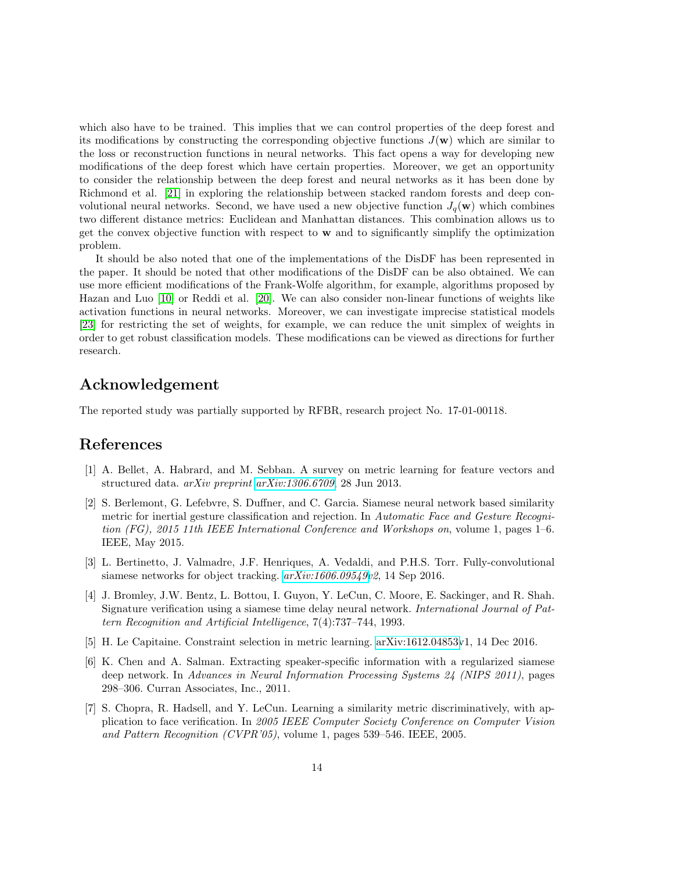which also have to be trained. This implies that we can control properties of the deep forest and its modifications by constructing the corresponding objective functions  $J(\mathbf{w})$  which are similar to the loss or reconstruction functions in neural networks. This fact opens a way for developing new modifications of the deep forest which have certain properties. Moreover, we get an opportunity to consider the relationship between the deep forest and neural networks as it has been done by Richmond et al. [\[21\]](#page-14-12) in exploring the relationship between stacked random forests and deep convolutional neural networks. Second, we have used a new objective function  $J_q(\mathbf{w})$  which combines two different distance metrics: Euclidean and Manhattan distances. This combination allows us to get the convex objective function with respect to w and to significantly simplify the optimization problem.

It should be also noted that one of the implementations of the DisDF has been represented in the paper. It should be noted that other modifications of the DisDF can be also obtained. We can use more efficient modifications of the Frank-Wolfe algorithm, for example, algorithms proposed by Hazan and Luo [\[10\]](#page-14-13) or Reddi et al. [\[20\]](#page-14-14). We can also consider non-linear functions of weights like activation functions in neural networks. Moreover, we can investigate imprecise statistical models [\[23\]](#page-14-15) for restricting the set of weights, for example, we can reduce the unit simplex of weights in order to get robust classification models. These modifications can be viewed as directions for further research.

# Acknowledgement

The reported study was partially supported by RFBR, research project No. 17-01-00118.

### References

- <span id="page-13-0"></span>[1] A. Bellet, A. Habrard, and M. Sebban. A survey on metric learning for feature vectors and structured data. arXiv preprint [arXiv:1306.6709](http://arxiv.org/abs/1306.6709), 28 Jun 2013.
- <span id="page-13-4"></span>[2] S. Berlemont, G. Lefebvre, S. Duffner, and C. Garcia. Siamese neural network based similarity metric for inertial gesture classification and rejection. In Automatic Face and Gesture Recognition (FG), 2015 11th IEEE International Conference and Workshops on, volume 1, pages 1–6. IEEE, May 2015.
- <span id="page-13-6"></span>[3] L. Bertinetto, J. Valmadre, J.F. Henriques, A. Vedaldi, and P.H.S. Torr. Fully-convolutional siamese networks for object tracking. [arXiv:1606.09549v](http://arxiv.org/abs/1606.09549)2, 14 Sep 2016.
- <span id="page-13-2"></span>[4] J. Bromley, J.W. Bentz, L. Bottou, I. Guyon, Y. LeCun, C. Moore, E. Sackinger, and R. Shah. Signature verification using a siamese time delay neural network. International Journal of Pattern Recognition and Artificial Intelligence, 7(4):737–744, 1993.
- <span id="page-13-1"></span>[5] H. Le Capitaine. Constraint selection in metric learning. [arXiv:1612.04853v](http://arxiv.org/abs/1612.04853)1, 14 Dec 2016.
- <span id="page-13-5"></span>[6] K. Chen and A. Salman. Extracting speaker-specific information with a regularized siamese deep network. In Advances in Neural Information Processing Systems 24 (NIPS 2011), pages 298–306. Curran Associates, Inc., 2011.
- <span id="page-13-3"></span>[7] S. Chopra, R. Hadsell, and Y. LeCun. Learning a similarity metric discriminatively, with application to face verification. In 2005 IEEE Computer Society Conference on Computer Vision and Pattern Recognition (CVPR'05), volume 1, pages 539–546. IEEE, 2005.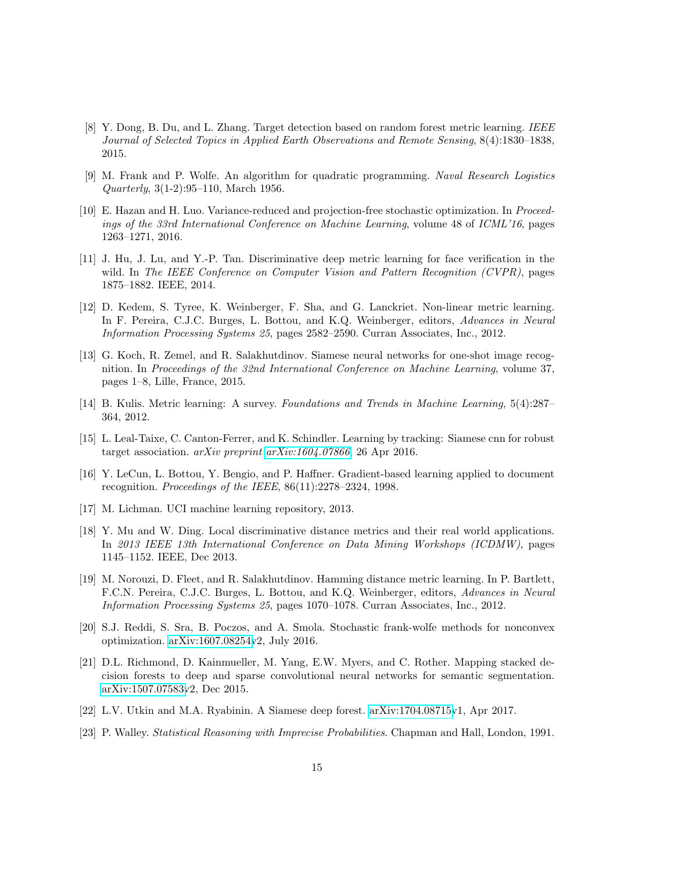- <span id="page-14-9"></span>[8] Y. Dong, B. Du, and L. Zhang. Target detection based on random forest metric learning. IEEE Journal of Selected Topics in Applied Earth Observations and Remote Sensing, 8(4):1830–1838, 2015.
- <span id="page-14-7"></span>[9] M. Frank and P. Wolfe. An algorithm for quadratic programming. Naval Research Logistics Quarterly, 3(1-2):95–110, March 1956.
- <span id="page-14-13"></span>[10] E. Hazan and H. Luo. Variance-reduced and projection-free stochastic optimization. In Proceedings of the 33rd International Conference on Machine Learning, volume 48 of ICML'16, pages 1263–1271, 2016.
- <span id="page-14-5"></span>[11] J. Hu, J. Lu, and Y.-P. Tan. Discriminative deep metric learning for face verification in the wild. In The IEEE Conference on Computer Vision and Pattern Recognition (CVPR), pages 1875–1882. IEEE, 2014.
- <span id="page-14-2"></span>[12] D. Kedem, S. Tyree, K. Weinberger, F. Sha, and G. Lanckriet. Non-linear metric learning. In F. Pereira, C.J.C. Burges, L. Bottou, and K.Q. Weinberger, editors, Advances in Neural Information Processing Systems 25, pages 2582–2590. Curran Associates, Inc., 2012.
- <span id="page-14-4"></span>[13] G. Koch, R. Zemel, and R. Salakhutdinov. Siamese neural networks for one-shot image recognition. In Proceedings of the 32nd International Conference on Machine Learning, volume 37, pages 1–8, Lille, France, 2015.
- <span id="page-14-1"></span>[14] B. Kulis. Metric learning: A survey. Foundations and Trends in Machine Learning, 5(4):287– 364, 2012.
- <span id="page-14-6"></span>[15] L. Leal-Taixe, C. Canton-Ferrer, and K. Schindler. Learning by tracking: Siamese cnn for robust target association. arXiv preprint [arXiv:1604.07866](http://arxiv.org/abs/1604.07866), 26 Apr 2016.
- <span id="page-14-11"></span>[16] Y. LeCun, L. Bottou, Y. Bengio, and P. Haffner. Gradient-based learning applied to document recognition. Proceedings of the IEEE, 86(11):2278–2324, 1998.
- <span id="page-14-10"></span>[17] M. Lichman. UCI machine learning repository, 2013.
- <span id="page-14-0"></span>[18] Y. Mu and W. Ding. Local discriminative distance metrics and their real world applications. In 2013 IEEE 13th International Conference on Data Mining Workshops (ICDMW), pages 1145–1152. IEEE, Dec 2013.
- <span id="page-14-3"></span>[19] M. Norouzi, D. Fleet, and R. Salakhutdinov. Hamming distance metric learning. In P. Bartlett, F.C.N. Pereira, C.J.C. Burges, L. Bottou, and K.Q. Weinberger, editors, Advances in Neural Information Processing Systems 25, pages 1070–1078. Curran Associates, Inc., 2012.
- <span id="page-14-14"></span>[20] S.J. Reddi, S. Sra, B. Poczos, and A. Smola. Stochastic frank-wolfe methods for nonconvex optimization. [arXiv:1607.08254v](http://arxiv.org/abs/1607.08254)2, July 2016.
- <span id="page-14-12"></span>[21] D.L. Richmond, D. Kainmueller, M. Yang, E.W. Myers, and C. Rother. Mapping stacked decision forests to deep and sparse convolutional neural networks for semantic segmentation. [arXiv:1507.07583v](http://arxiv.org/abs/1507.07583)2, Dec 2015.
- <span id="page-14-8"></span>[22] L.V. Utkin and M.A. Ryabinin. A Siamese deep forest. [arXiv:1704.08715v](http://arxiv.org/abs/1704.08715)1, Apr 2017.
- <span id="page-14-15"></span>[23] P. Walley. Statistical Reasoning with Imprecise Probabilities. Chapman and Hall, London, 1991.